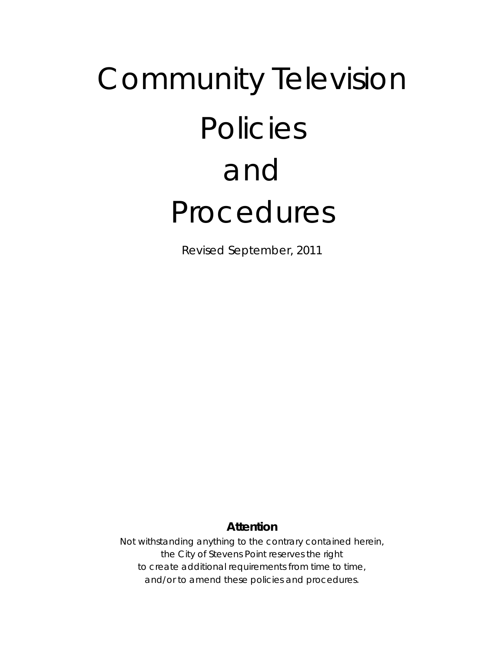# Community Television Policies and Procedures

Revised September, 2011

# **Attention**

Not withstanding anything to the contrary contained herein, the City of Stevens Point reserves the right to create additional requirements from time to time, and/or to amend these policies and procedures.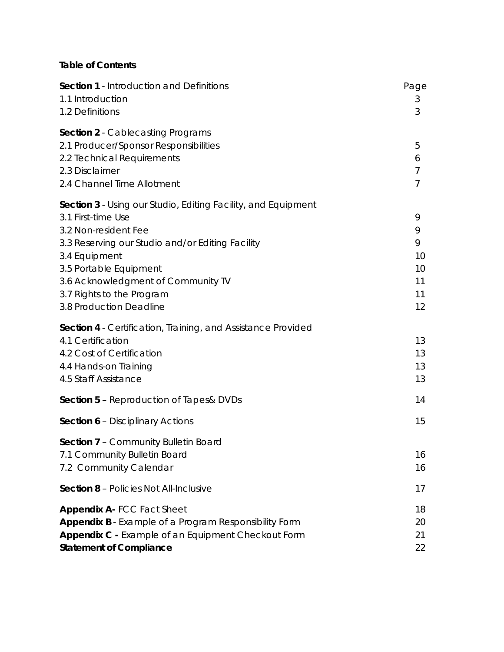# **Table of Contents**

| <b>Section 1 - Introduction and Definitions</b>                      | Page           |
|----------------------------------------------------------------------|----------------|
| 1.1 Introduction                                                     | 3              |
| 1.2 Definitions                                                      | 3              |
| <b>Section 2</b> - Cablecasting Programs                             |                |
| 2.1 Producer/Sponsor Responsibilities                                | 5              |
| 2.2 Technical Requirements                                           | 6              |
| 2.3 Disclaimer                                                       | $\overline{7}$ |
| 2.4 Channel Time Allotment                                           | $\overline{7}$ |
| <b>Section 3</b> - Using our Studio, Editing Facility, and Equipment |                |
| 3.1 First-time Use                                                   | 9              |
| 3.2 Non-resident Fee                                                 | 9              |
| 3.3 Reserving our Studio and/or Editing Facility                     | 9              |
| 3.4 Equipment                                                        | 10             |
| 3.5 Portable Equipment                                               | 10             |
| 3.6 Acknowledgment of Community TV                                   | 11             |
| 3.7 Rights to the Program                                            | 11             |
| 3.8 Production Deadline                                              | 12             |
| <b>Section 4</b> - Certification, Training, and Assistance Provided  |                |
| 4.1 Certification                                                    | 13             |
| 4.2 Cost of Certification                                            | 13             |
| 4.4 Hands-on Training                                                | 13             |
| 4.5 Staff Assistance                                                 | 13             |
| <b>Section 5 - Reproduction of Tapes&amp; DVDs</b>                   | 14             |
| <b>Section 6 - Disciplinary Actions</b>                              | 15             |
| Section 7 - Community Bulletin Board                                 |                |
| 7.1 Community Bulletin Board                                         | 16             |
| 7.2 Community Calendar                                               | 16             |
| <b>Section 8 - Policies Not All-Inclusive</b>                        | 17             |
| Appendix A-FCC Fact Sheet                                            | 18             |
| Appendix B - Example of a Program Responsibility Form                | 20             |
| Appendix C - Example of an Equipment Checkout Form                   | 21             |
| <b>Statement of Compliance</b>                                       | 22             |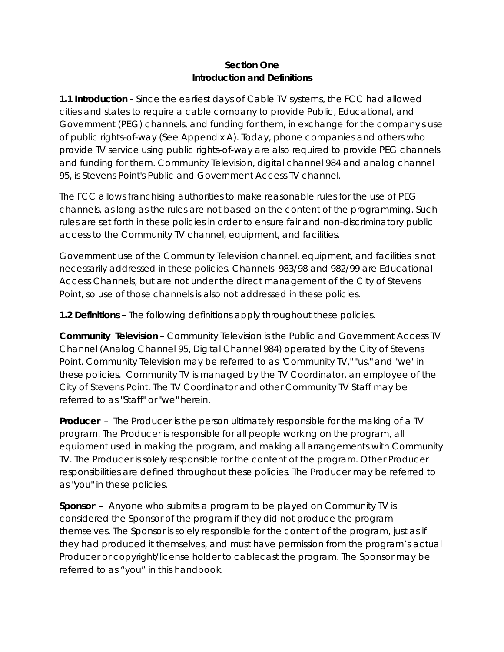#### **Section One Introduction and Definitions**

**1.1 Introduction -** Since the earliest days of Cable TV systems, the FCC had allowed cities and states to require a cable company to provide Public, Educational, and Government (PEG) channels, and funding for them, in exchange for the company's use of public rights-of-way (See Appendix A). Today, phone companies and others who provide TV service using public rights-of-way are also required to provide PEG channels and funding for them. Community Television, digital channel 984 and analog channel 95, is Stevens Point's Public and Government Access TV channel.

The FCC allows franchising authorities to make reasonable rules for the use of PEG channels, as long as the rules are not based on the content of the programming. Such rules are set forth in these policies in order to ensure fair and non-discriminatory public access to the Community TV channel, equipment, and facilities.

Government use of the Community Television channel, equipment, and facilities is not necessarily addressed in these policies. Channels 983/98 and 982/99 are Educational Access Channels, but are not under the direct management of the City of Stevens Point, so use of those channels is also not addressed in these policies.

**1.2 Definitions –** The following definitions apply throughout these policies.

**Community Television** – Community Television is the Public and Government Access TV Channel (Analog Channel 95, Digital Channel 984) operated by the City of Stevens Point. Community Television may be referred to as "Community TV," "us," and "we" in these policies. Community TV is managed by the TV Coordinator, an employee of the City of Stevens Point. The TV Coordinator and other Community TV Staff may be referred to as "Staff" or "we" herein.

**Producer** – The Producer is the person ultimately responsible for the making of a TV program. The Producer is responsible for all people working on the program, all equipment used in making the program, and making all arrangements with Community TV. The Producer is solely responsible for the content of the program. Other Producer responsibilities are defined throughout these policies. The Producer may be referred to as "you" in these policies.

**Sponsor** – Anyone who submits a program to be played on Community TV is considered the Sponsor of the program if they did not produce the program themselves. The Sponsor is solely responsible for the content of the program, just as if they had produced it themselves, and must have permission from the program's actual Producer or copyright/license holder to cablecast the program. The Sponsor may be referred to as "you" in this handbook.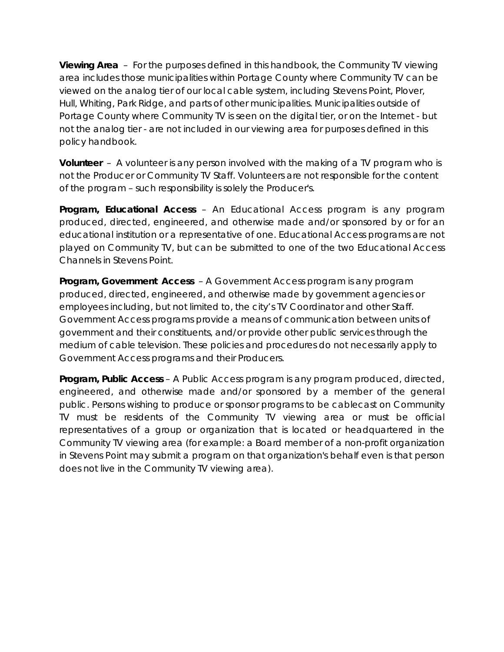**Viewing Area** – For the purposes defined in this handbook, the Community TV viewing area includes those municipalities within Portage County where Community TV can be viewed on the analog tier of our local cable system, including Stevens Point, Plover, Hull, Whiting, Park Ridge, and parts of other municipalities. Municipalities outside of Portage County where Community TV is seen on the digital tier, or on the Internet - but not the analog tier - are not included in our viewing area for purposes defined in this policy handbook.

**Volunteer** – A volunteer is any person involved with the making of a TV program who is not the Producer or Community TV Staff. Volunteers are not responsible for the content of the program – such responsibility is solely the Producer's.

**Program, Educational Access** – An Educational Access program is any program produced, directed, engineered, and otherwise made and/or sponsored by or for an educational institution or a representative of one. Educational Access programs are not played on Community TV, but can be submitted to one of the two Educational Access Channels in Stevens Point.

**Program, Government Access** – A Government Access program is any program produced, directed, engineered, and otherwise made by government agencies or employees including, but not limited to, the city's TV Coordinator and other Staff. Government Access programs provide a means of communication between units of government and their constituents, and/or provide other public services through the medium of cable television. These policies and procedures do not necessarily apply to Government Access programs and their Producers.

**Program, Public Access** – A Public Access program is any program produced, directed, engineered, and otherwise made and/or sponsored by a member of the general public. Persons wishing to produce or sponsor programs to be cablecast on Community TV must be residents of the Community TV viewing area or must be official representatives of a group or organization that is located or headquartered in the Community TV viewing area (for example: a Board member of a non-profit organization in Stevens Point may submit a program on that organization's behalf even is that person does not live in the Community TV viewing area).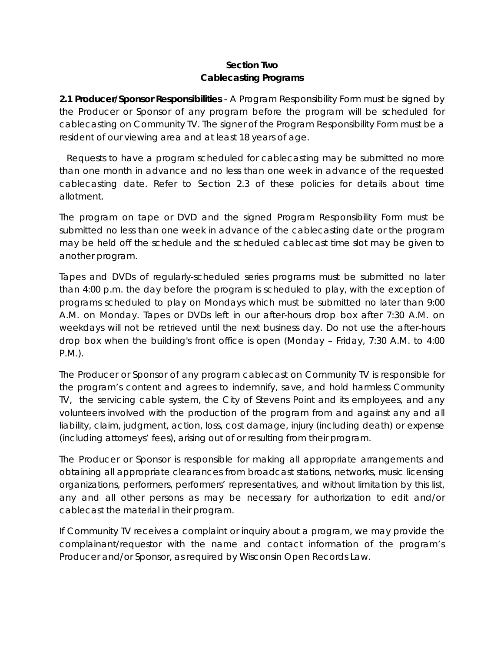# **Section Two Cablecasting Programs**

**2.1 Producer/Sponsor Responsibilities** - A Program Responsibility Form must be signed by the Producer or Sponsor of any program before the program will be scheduled for cablecasting on Community TV. The signer of the Program Responsibility Form must be a resident of our viewing area and at least 18 years of age.

 Requests to have a program scheduled for cablecasting may be submitted no more than one month in advance and no less than one week in advance of the requested cablecasting date. Refer to Section 2.3 of these policies for details about time allotment.

The program on tape or DVD and the signed Program Responsibility Form must be submitted no less than one week in advance of the cablecasting date or the program may be held off the schedule and the scheduled cablecast time slot may be given to another program.

Tapes and DVDs of regularly-scheduled series programs must be submitted no later than 4:00 p.m. the day before the program is scheduled to play, with the exception of programs scheduled to play on Mondays which must be submitted no later than 9:00 A.M. on Monday. Tapes or DVDs left in our after-hours drop box after 7:30 A.M. on weekdays will not be retrieved until the next business day. Do not use the after-hours drop box when the building's front office is open (Monday – Friday, 7:30 A.M. to 4:00 P.M.).

The Producer or Sponsor of any program cablecast on Community TV is responsible for the program's content and agrees to indemnify, save, and hold harmless Community TV, the servicing cable system, the City of Stevens Point and its employees, and any volunteers involved with the production of the program from and against any and all liability, claim, judgment, action, loss, cost damage, injury (including death) or expense (including attorneys' fees), arising out of or resulting from their program.

The Producer or Sponsor is responsible for making all appropriate arrangements and obtaining all appropriate clearances from broadcast stations, networks, music licensing organizations, performers, performers' representatives, and without limitation by this list, any and all other persons as may be necessary for authorization to edit and/or cablecast the material in their program.

If Community TV receives a complaint or inquiry about a program, we may provide the complainant/requestor with the name and contact information of the program's Producer and/or Sponsor, as required by Wisconsin Open Records Law.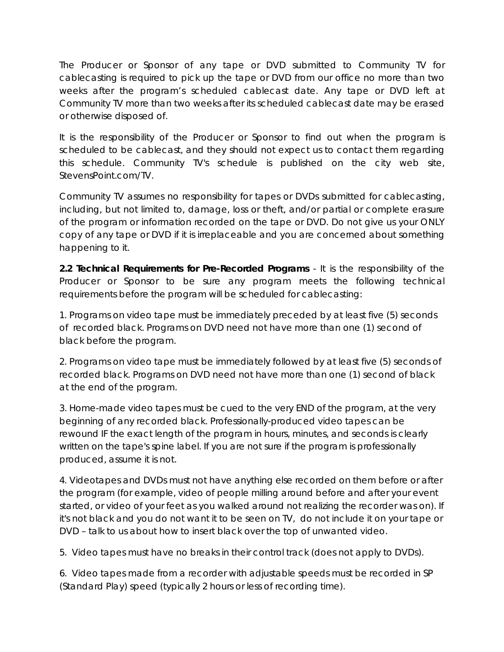The Producer or Sponsor of any tape or DVD submitted to Community TV for cablecasting is required to pick up the tape or DVD from our office no more than two weeks after the program's scheduled cablecast date. Any tape or DVD left at Community TV more than two weeks after its scheduled cablecast date may be erased or otherwise disposed of.

It is the responsibility of the Producer or Sponsor to find out when the program is scheduled to be cablecast, and they should not expect us to contact them regarding this schedule. Community TV's schedule is published on the city web site, StevensPoint.com/TV.

Community TV assumes no responsibility for tapes or DVDs submitted for cablecasting, including, but not limited to, damage, loss or theft, and/or partial or complete erasure of the program or information recorded on the tape or DVD. Do not give us your ONLY copy of any tape or DVD if it is irreplaceable and you are concerned about something happening to it.

**2.2 Technical Requirements for Pre-Recorded Programs** - It is the responsibility of the Producer or Sponsor to be sure any program meets the following technical requirements before the program will be scheduled for cablecasting:

1. Programs on video tape must be immediately preceded by at least five (5) seconds of recorded black. Programs on DVD need not have more than one (1) second of black before the program.

2. Programs on video tape must be immediately followed by at least five (5) seconds of recorded black. Programs on DVD need not have more than one (1) second of black at the end of the program.

3. Home-made video tapes must be cued to the very END of the program, at the very beginning of any recorded black. Professionally-produced video tapes can be rewound IF the exact length of the program in hours, minutes, and seconds is clearly written on the tape's spine label. If you are not sure if the program is professionally produced, assume it is not.

4. Videotapes and DVDs must not have anything else recorded on them before or after the program (for example, video of people milling around before and after your event started, or video of your feet as you walked around not realizing the recorder was on). If it's not black and you do not want it to be seen on TV, do not include it on your tape or DVD – talk to us about how to insert black over the top of unwanted video.

5. Video tapes must have no breaks in their control track (does not apply to DVDs).

6. Video tapes made from a recorder with adjustable speeds must be recorded in SP (Standard Play) speed (typically 2 hours or less of recording time).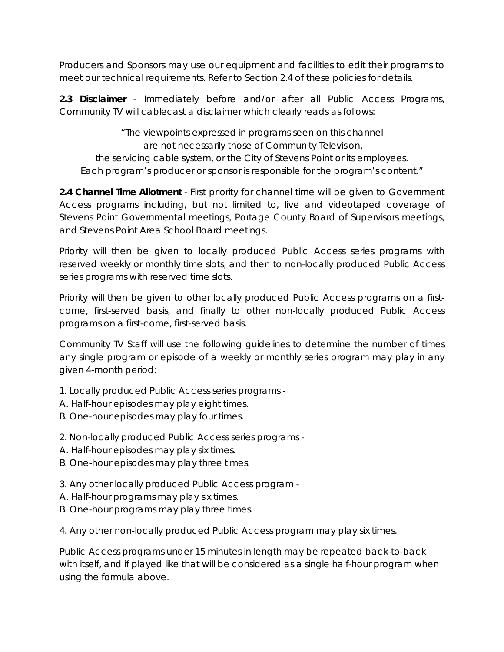Producers and Sponsors may use our equipment and facilities to edit their programs to meet our technical requirements. Refer to Section 2.4 of these policies for details.

**2.3 Disclaimer** - Immediately before and/or after all Public Access Programs, Community TV will cablecast a disclaimer which clearly reads as follows:

"The viewpoints expressed in programs seen on this channel are not necessarily those of Community Television, the servicing cable system, or the City of Stevens Point or its employees. Each program's producer or sponsor is responsible for the program's content."

**2.4 Channel Time Allotment** - First priority for channel time will be given to Government Access programs including, but not limited to, live and videotaped coverage of Stevens Point Governmental meetings, Portage County Board of Supervisors meetings, and Stevens Point Area School Board meetings.

Priority will then be given to locally produced Public Access series programs with reserved weekly or monthly time slots, and then to non-locally produced Public Access series programs with reserved time slots.

Priority will then be given to other locally produced Public Access programs on a firstcome, first-served basis, and finally to other non-locally produced Public Access programs on a first-come, first-served basis.

Community TV Staff will use the following guidelines to determine the number of times any single program or episode of a weekly or monthly series program may play in any given 4-month period:

- 1. Locally produced Public Access series programs -
- A. Half-hour episodes may play eight times.
- B. One-hour episodes may play four times.
- 2. Non-locally produced Public Access series programs -
- A. Half-hour episodes may play six times.
- B. One-hour episodes may play three times.
- 3. Any other locally produced Public Access program -
- A. Half-hour programs may play six times.
- B. One-hour programs may play three times.

4. Any other non-locally produced Public Access program may play six times.

Public Access programs under 15 minutes in length may be repeated back-to-back with itself, and if played like that will be considered as a single half-hour program when using the formula above.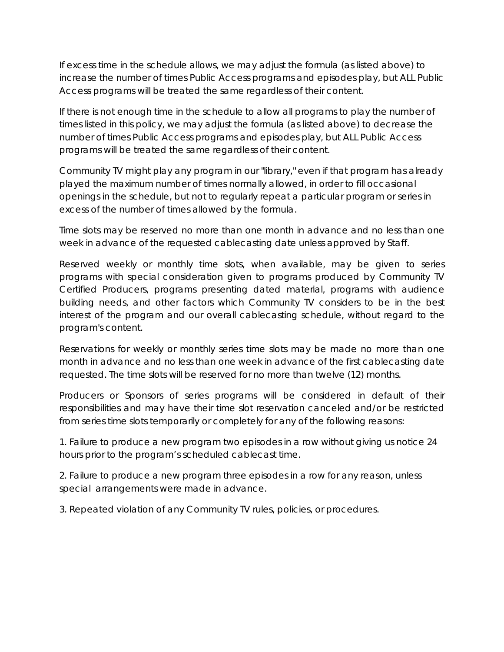If excess time in the schedule allows, we may adjust the formula (as listed above) to increase the number of times Public Access programs and episodes play, but ALL Public Access programs will be treated the same regardless of their content.

If there is not enough time in the schedule to allow all programs to play the number of times listed in this policy, we may adjust the formula (as listed above) to decrease the number of times Public Access programs and episodes play, but ALL Public Access programs will be treated the same regardless of their content.

Community TV might play any program in our "library," even if that program has already played the maximum number of times normally allowed, in order to fill occasional openings in the schedule, but not to regularly repeat a particular program or series in excess of the number of times allowed by the formula.

Time slots may be reserved no more than one month in advance and no less than one week in advance of the requested cablecasting date unless approved by Staff.

Reserved weekly or monthly time slots, when available, may be given to series programs with special consideration given to programs produced by Community TV Certified Producers, programs presenting dated material, programs with audience building needs, and other factors which Community TV considers to be in the best interest of the program and our overall cablecasting schedule, without regard to the program's content.

Reservations for weekly or monthly series time slots may be made no more than one month in advance and no less than one week in advance of the first cablecasting date requested. The time slots will be reserved for no more than twelve (12) months.

Producers or Sponsors of series programs will be considered in default of their responsibilities and may have their time slot reservation canceled and/or be restricted from series time slots temporarily or completely for any of the following reasons:

1. Failure to produce a new program two episodes in a row without giving us notice 24 hours prior to the program's scheduled cablecast time.

2. Failure to produce a new program three episodes in a row for any reason, unless special arrangements were made in advance.

3. Repeated violation of any Community TV rules, policies, or procedures.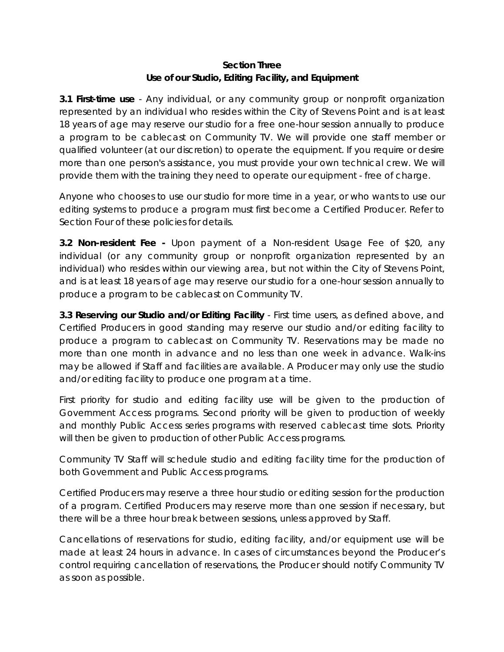## **Section Three Use of our Studio, Editing Facility, and Equipment**

**3.1 First-time use** - Any individual, or any community group or nonprofit organization represented by an individual who resides within the City of Stevens Point and is at least 18 years of age may reserve our studio for a free one-hour session annually to produce a program to be cablecast on Community TV. We will provide one staff member or qualified volunteer (at our discretion) to operate the equipment. If you require or desire more than one person's assistance, you must provide your own technical crew. We will provide them with the training they need to operate our equipment - free of charge.

Anyone who chooses to use our studio for more time in a year, or who wants to use our editing systems to produce a program must first become a Certified Producer. Refer to Section Four of these policies for details.

**3.2 Non-resident Fee -** Upon payment of a Non-resident Usage Fee of \$20, any individual (or any community group or nonprofit organization represented by an individual) who resides within our viewing area, but not within the City of Stevens Point, and is at least 18 years of age may reserve our studio for a one-hour session annually to produce a program to be cablecast on Community TV.

**3.3 Reserving our Studio and/or Editing Facility** - First time users, as defined above, and Certified Producers in good standing may reserve our studio and/or editing facility to produce a program to cablecast on Community TV. Reservations may be made no more than one month in advance and no less than one week in advance. Walk-ins may be allowed if Staff and facilities are available. A Producer may only use the studio and/or editing facility to produce one program at a time.

First priority for studio and editing facility use will be given to the production of Government Access programs. Second priority will be given to production of weekly and monthly Public Access series programs with reserved cablecast time slots. Priority will then be given to production of other Public Access programs.

Community TV Staff will schedule studio and editing facility time for the production of both Government and Public Access programs.

Certified Producers may reserve a three hour studio or editing session for the production of a program. Certified Producers may reserve more than one session if necessary, but there will be a three hour break between sessions, unless approved by Staff.

Cancellations of reservations for studio, editing facility, and/or equipment use will be made at least 24 hours in advance. In cases of circumstances beyond the Producer's control requiring cancellation of reservations, the Producer should notify Community TV as soon as possible.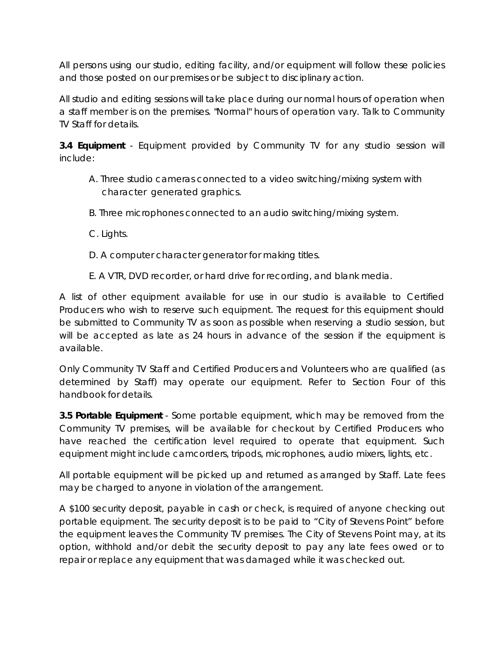All persons using our studio, editing facility, and/or equipment will follow these policies and those posted on our premises or be subject to disciplinary action.

All studio and editing sessions will take place during our normal hours of operation when a staff member is on the premises. "Normal" hours of operation vary. Talk to Community TV Staff for details.

**3.4 Equipment** - Equipment provided by Community TV for any studio session will include:

- A. Three studio cameras connected to a video switching/mixing system with character generated graphics.
- B. Three microphones connected to an audio switching/mixing system.

C. Lights.

- D. A computer character generator for making titles.
- E. A VTR, DVD recorder, or hard drive for recording, and blank media.

A list of other equipment available for use in our studio is available to Certified Producers who wish to reserve such equipment. The request for this equipment should be submitted to Community TV as soon as possible when reserving a studio session, but will be accepted as late as 24 hours in advance of the session if the equipment is available.

Only Community TV Staff and Certified Producers and Volunteers who are qualified (as determined by Staff) may operate our equipment. Refer to Section Four of this handbook for details.

**3.5 Portable Equipment** - Some portable equipment, which may be removed from the Community TV premises, will be available for checkout by Certified Producers who have reached the certification level required to operate that equipment. Such equipment might include camcorders, tripods, microphones, audio mixers, lights, etc.

All portable equipment will be picked up and returned as arranged by Staff. Late fees may be charged to anyone in violation of the arrangement.

A \$100 security deposit, payable in cash or check, is required of anyone checking out portable equipment. The security deposit is to be paid to "City of Stevens Point" before the equipment leaves the Community TV premises. The City of Stevens Point may, at its option, withhold and/or debit the security deposit to pay any late fees owed or to repair or replace any equipment that was damaged while it was checked out.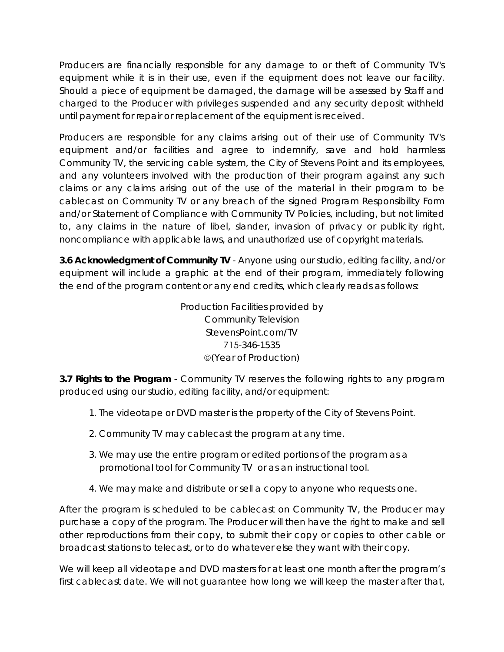Producers are financially responsible for any damage to or theft of Community TV's equipment while it is in their use, even if the equipment does not leave our facility. Should a piece of equipment be damaged, the damage will be assessed by Staff and charged to the Producer with privileges suspended and any security deposit withheld until payment for repair or replacement of the equipment is received.

Producers are responsible for any claims arising out of their use of Community TV's equipment and/or facilities and agree to indemnify, save and hold harmless Community TV, the servicing cable system, the City of Stevens Point and its employees, and any volunteers involved with the production of their program against any such claims or any claims arising out of the use of the material in their program to be cablecast on Community TV or any breach of the signed Program Responsibility Form and/or Statement of Compliance with Community TV Policies, including, but not limited to, any claims in the nature of libel, slander, invasion of privacy or publicity right, noncompliance with applicable laws, and unauthorized use of copyright materials.

**3.6 Acknowledgment of Community TV** - Anyone using our studio, editing facility, and/or equipment will include a graphic at the end of their program, immediately following the end of the program content or any end credits, which clearly reads as follows:

> Production Facilities provided by Community Television StevensPoint.com/TV 715-346-1535 (Year of Production)

**3.7 Rights to the Program** - Community TV reserves the following rights to any program produced using our studio, editing facility, and/or equipment:

- 1. The videotape or DVD master is the property of the City of Stevens Point.
- 2. Community TV may cablecast the program at any time.
- 3. We may use the entire program or edited portions of the program as a promotional tool for Community TV or as an instructional tool.
- 4. We may make and distribute or sell a copy to anyone who requests one.

After the program is scheduled to be cablecast on Community TV, the Producer may purchase a copy of the program. The Producer will then have the right to make and sell other reproductions from their copy, to submit their copy or copies to other cable or broadcast stations to telecast, or to do whatever else they want with their copy.

We will keep all videotape and DVD masters for at least one month after the program's first cablecast date. We will not guarantee how long we will keep the master after that,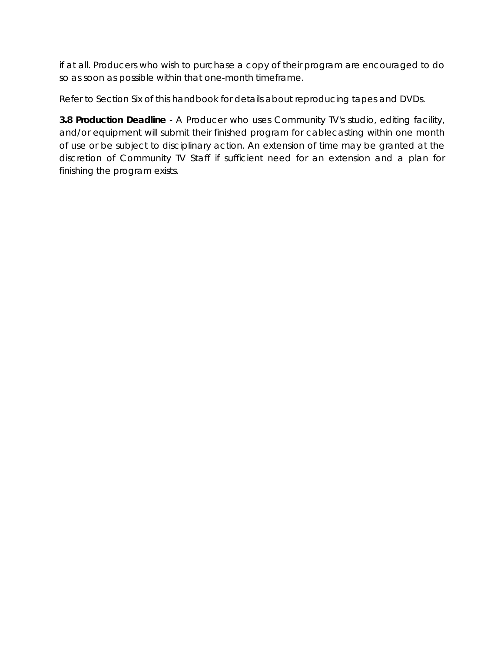if at all. Producers who wish to purchase a copy of their program are encouraged to do so as soon as possible within that one-month timeframe.

Refer to Section Six of this handbook for details about reproducing tapes and DVDs.

**3.8 Production Deadline** - A Producer who uses Community TV's studio, editing facility, and/or equipment will submit their finished program for cablecasting within one month of use or be subject to disciplinary action. An extension of time may be granted at the discretion of Community TV Staff if sufficient need for an extension and a plan for finishing the program exists.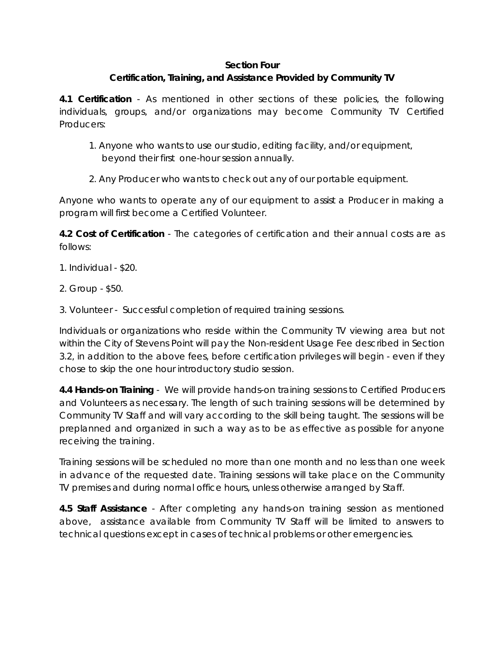#### **Section Four**

# **Certification, Training, and Assistance Provided by Community TV**

**4.1 Certification** - As mentioned in other sections of these policies, the following individuals, groups, and/or organizations may become Community TV Certified Producers:

- 1. Anyone who wants to use our studio, editing facility, and/or equipment, beyond their first one-hour session annually.
- 2. Any Producer who wants to check out any of our portable equipment.

Anyone who wants to operate any of our equipment to assist a Producer in making a program will first become a Certified Volunteer.

**4.2 Cost of Certification** - The categories of certification and their annual costs are as follows:

- 1. Individual \$20.
- 2. Group \$50.
- 3. Volunteer Successful completion of required training sessions.

Individuals or organizations who reside within the Community TV viewing area but not within the City of Stevens Point will pay the Non-resident Usage Fee described in Section 3.2, in addition to the above fees, before certification privileges will begin - even if they chose to skip the one hour introductory studio session.

**4.4 Hands-on Training** - We will provide hands-on training sessions to Certified Producers and Volunteers as necessary. The length of such training sessions will be determined by Community TV Staff and will vary according to the skill being taught. The sessions will be preplanned and organized in such a way as to be as effective as possible for anyone receiving the training.

Training sessions will be scheduled no more than one month and no less than one week in advance of the requested date. Training sessions will take place on the Community TV premises and during normal office hours, unless otherwise arranged by Staff.

**4.5 Staff Assistance** - After completing any hands-on training session as mentioned above, assistance available from Community TV Staff will be limited to answers to technical questions except in cases of technical problems or other emergencies.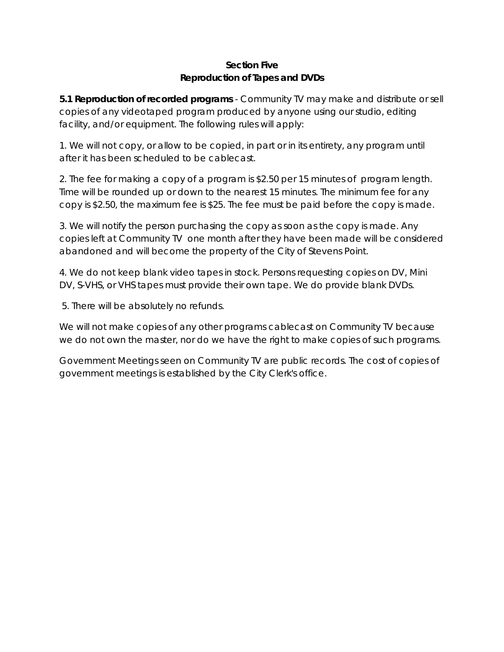# **Section Five Reproduction of Tapes and DVDs**

**5.1 Reproduction of recorded programs** - Community TV may make and distribute or sell copies of any videotaped program produced by anyone using our studio, editing facility, and/or equipment. The following rules will apply:

1. We will not copy, or allow to be copied, in part or in its entirety, any program until after it has been scheduled to be cablecast.

2. The fee for making a copy of a program is \$2.50 per 15 minutes of program length. Time will be rounded up or down to the nearest 15 minutes. The minimum fee for any copy is \$2.50, the maximum fee is \$25. The fee must be paid before the copy is made.

3. We will notify the person purchasing the copy as soon as the copy is made. Any copies left at Community TV one month after they have been made will be considered abandoned and will become the property of the City of Stevens Point.

4. We do not keep blank video tapes in stock. Persons requesting copies on DV, Mini DV, S-VHS, or VHS tapes must provide their own tape. We do provide blank DVDs.

5. There will be absolutely no refunds.

We will not make copies of any other programs cablecast on Community TV because we do not own the master, nor do we have the right to make copies of such programs.

Government Meetings seen on Community TV are public records. The cost of copies of government meetings is established by the City Clerk's office.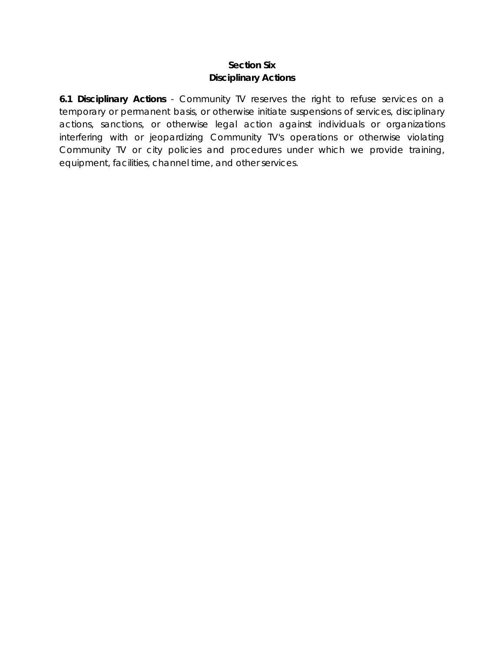#### **Section Six Disciplinary Actions**

**6.1 Disciplinary Actions** - Community TV reserves the right to refuse services on a temporary or permanent basis, or otherwise initiate suspensions of services, disciplinary actions, sanctions, or otherwise legal action against individuals or organizations interfering with or jeopardizing Community TV's operations or otherwise violating Community TV or city policies and procedures under which we provide training, equipment, facilities, channel time, and other services.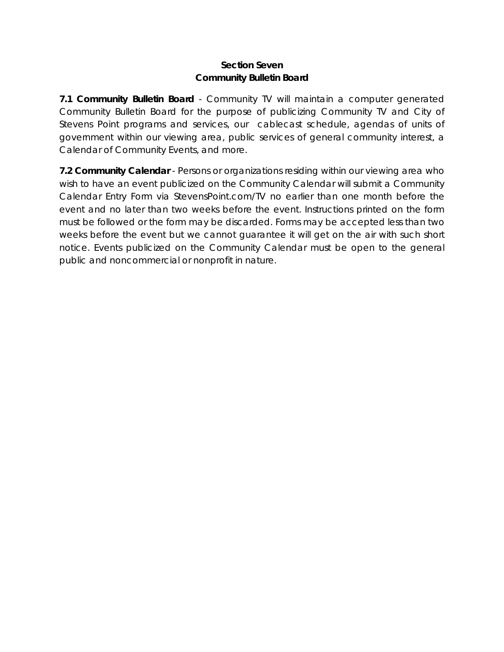#### **Section Seven Community Bulletin Board**

**7.1 Community Bulletin Board** - Community TV will maintain a computer generated Community Bulletin Board for the purpose of publicizing Community TV and City of Stevens Point programs and services, our cablecast schedule, agendas of units of government within our viewing area, public services of general community interest, a Calendar of Community Events, and more.

**7.2 Community Calendar** - Persons or organizations residing within our viewing area who wish to have an event publicized on the Community Calendar will submit a Community Calendar Entry Form via StevensPoint.com/TV no earlier than one month before the event and no later than two weeks before the event. Instructions printed on the form must be followed or the form may be discarded. Forms may be accepted less than two weeks before the event but we cannot guarantee it will get on the air with such short notice. Events publicized on the Community Calendar must be open to the general public and noncommercial or nonprofit in nature.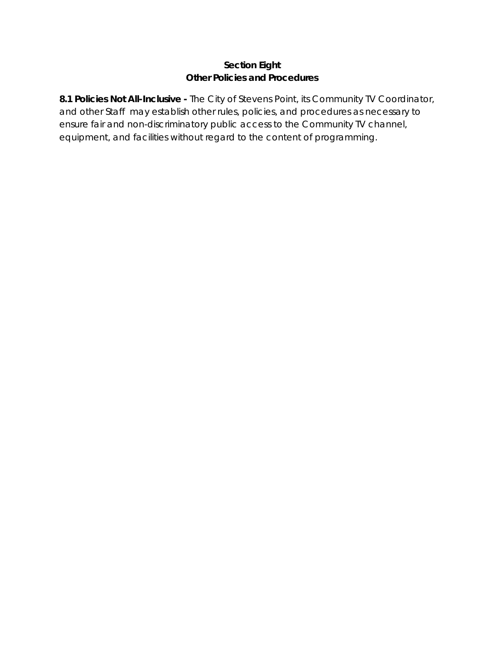## **Section Eight Other Policies and Procedures**

**8.1 Policies Not All-Inclusive -** The City of Stevens Point, its Community TV Coordinator, and other Staff may establish other rules, policies, and procedures as necessary to ensure fair and non-discriminatory public access to the Community TV channel, equipment, and facilities without regard to the content of programming.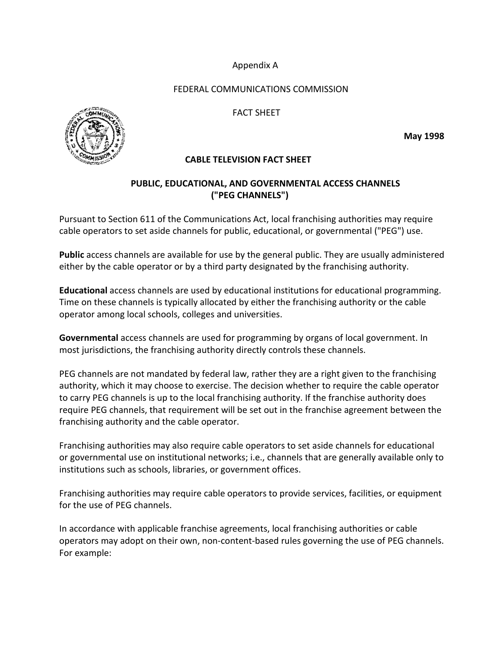#### Appendix A

#### FEDERAL COMMUNICATIONS COMMISSION

#### FACT SHEET



#### **CABLE TELEVISION FACT SHEET**

#### **PUBLIC, EDUCATIONAL, AND GOVERNMENTAL ACCESS CHANNELS ("PEG CHANNELS")**

Pursuant to Section 611 of the Communications Act, local franchising authorities may require cable operators to set aside channels for public, educational, or governmental ("PEG") use.

**Public** access channels are available for use by the general public. They are usually administered either by the cable operator or by a third party designated by the franchising authority.

**Educational** access channels are used by educational institutions for educational programming. Time on these channels is typically allocated by either the franchising authority or the cable operator among local schools, colleges and universities.

**Governmental** access channels are used for programming by organs of local government. In most jurisdictions, the franchising authority directly controls these channels.

PEG channels are not mandated by federal law, rather they are a right given to the franchising authority, which it may choose to exercise. The decision whether to require the cable operator to carry PEG channels is up to the local franchising authority. If the franchise authority does require PEG channels, that requirement will be set out in the franchise agreement between the franchising authority and the cable operator.

Franchising authorities may also require cable operators to set aside channels for educational or governmental use on institutional networks; i.e., channels that are generally available only to institutions such as schools, libraries, or government offices.

Franchising authorities may require cable operators to provide services, facilities, or equipment for the use of PEG channels.

In accordance with applicable franchise agreements, local franchising authorities or cable operators may adopt on their own, non-content-based rules governing the use of PEG channels. For example:

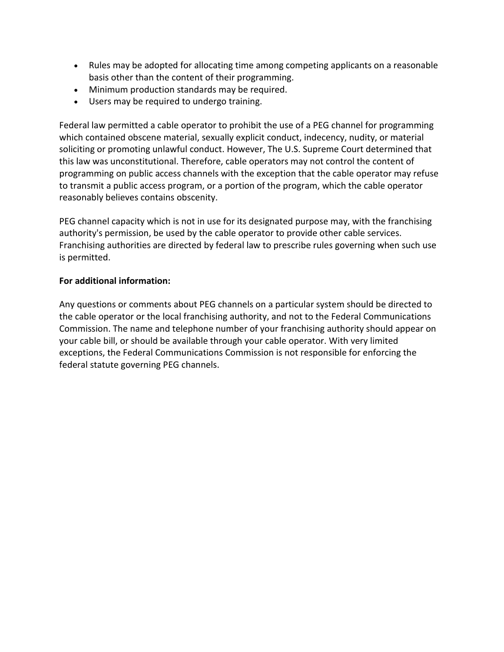- Rules may be adopted for allocating time among competing applicants on a reasonable basis other than the content of their programming.
- Minimum production standards may be required.
- Users may be required to undergo training.

Federal law permitted a cable operator to prohibit the use of a PEG channel for programming which contained obscene material, sexually explicit conduct, indecency, nudity, or material soliciting or promoting unlawful conduct. However, The U.S. Supreme Court determined that this law was unconstitutional. Therefore, cable operators may not control the content of programming on public access channels with the exception that the cable operator may refuse to transmit a public access program, or a portion of the program, which the cable operator reasonably believes contains obscenity.

PEG channel capacity which is not in use for its designated purpose may, with the franchising authority's permission, be used by the cable operator to provide other cable services. Franchising authorities are directed by federal law to prescribe rules governing when such use is permitted.

#### **For additional information:**

Any questions or comments about PEG channels on a particular system should be directed to the cable operator or the local franchising authority, and not to the Federal Communications Commission. The name and telephone number of your franchising authority should appear on your cable bill, or should be available through your cable operator. With very limited exceptions, the Federal Communications Commission is not responsible for enforcing the federal statute governing PEG channels.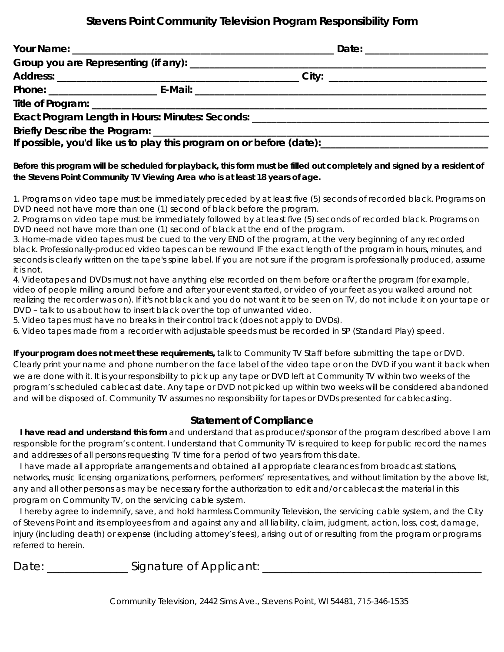# **Stevens Point Community Television Program Responsibility Form**

| Exact Program Length in Hours: Minutes: Seconds: ________________________________                                                                                        |  |
|--------------------------------------------------------------------------------------------------------------------------------------------------------------------------|--|
|                                                                                                                                                                          |  |
| If possible, you'd like us to play this program on or before (date): [10] and the manuscription of the possible, you'd like us to play this program on or before (date): |  |

**Before this program will be scheduled for playback, this form must be filled out completely and signed by a resident of the Stevens Point Community TV Viewing Area who is at least 18 years of age.**

1. Programs on video tape must be immediately preceded by at least five (5) seconds of recorded black. Programs on DVD need not have more than one (1) second of black before the program.

2. Programs on video tape must be immediately followed by at least five (5) seconds of recorded black. Programs on DVD need not have more than one (1) second of black at the end of the program.

3. Home-made video tapes must be cued to the very END of the program, at the very beginning of any recorded black. Professionally-produced video tapes can be rewound IF the exact length of the program in hours, minutes, and seconds is clearly written on the tape's spine label. If you are not sure if the program is professionally produced, assume it is not.

4. Videotapes and DVDs must not have anything else recorded on them before or after the program (for example, video of people milling around before and after your event started, or video of your feet as you walked around not realizing the recorder was on). If it's not black and you do not want it to be seen on TV, do not include it on your tape or DVD – talk to us about how to insert black over the top of unwanted video.

5. Video tapes must have no breaks in their control track (does not apply to DVDs).

6. Video tapes made from a recorder with adjustable speeds must be recorded in SP (Standard Play) speed.

**If your program does not meet these requirements,** talk to Community TV Staff before submitting the tape or DVD. Clearly print your name and phone number on the face label of the video tape or on the DVD if you want it back when we are done with it. It is your responsibility to pick up any tape or DVD left at Community TV within two weeks of the program's scheduled cablecast date. Any tape or DVD not picked up within two weeks will be considered abandoned and will be disposed of. Community TV assumes no responsibility for tapes or DVDs presented for cablecasting.

#### **Statement of Compliance**

 **I have read and understand this form** and understand that as producer/sponsor of the program described above I am responsible for the program's content. I understand that Community TV is required to keep for public record the names and addresses of all persons requesting TV time for a period of two years from this date.

 I have made all appropriate arrangements and obtained all appropriate clearances from broadcast stations, networks, music licensing organizations, performers, performers' representatives, and without limitation by the above list, any and all other persons as may be necessary for the authorization to edit and/or cablecast the material in this program on Community TV, on the servicing cable system.

 I hereby agree to indemnify, save, and hold harmless Community Television, the servicing cable system, and the City of Stevens Point and its employees from and against any and all liability, claim, judgment, action, loss, cost, damage, injury (including death) or expense (including attorney's fees), arising out of or resulting from the program or programs referred to herein.

Date: \_\_\_\_\_\_\_\_\_\_\_\_\_\_\_\_\_\_Signature of Applicant: \_\_\_\_\_\_\_\_\_\_\_\_\_\_\_\_\_\_\_\_\_\_\_\_\_\_\_\_\_\_\_\_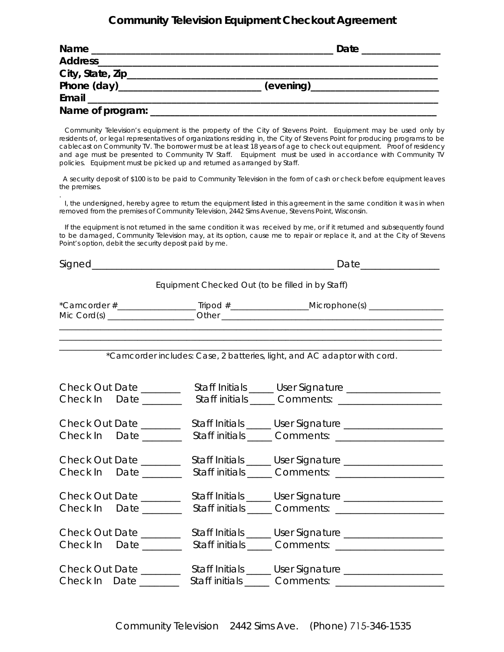# **Community Television Equipment Checkout Agreement**

| <b>Name</b>                            | Date |
|----------------------------------------|------|
| Address_____________________           |      |
| City, State, Zip______________________ |      |
|                                        |      |
|                                        |      |
| Name of program:                       |      |

 Community Television's equipment is the property of the City of Stevens Point. Equipment may be used only by residents of, or legal representatives of organizations residing in, the City of Stevens Point for producing programs to be cablecast on Community TV. The borrower must be at least 18 years of age to check out equipment. Proof of residency and age must be presented to Community TV Staff. Equipment must be used in accordance with Community TV policies. Equipment must be picked up and returned as arranged by Staff.

 A security deposit of \$100 is to be paid to Community Television in the form of cash or check before equipment leaves the premises.

. I, the undersigned, hereby agree to return the equipment listed in this agreement in the same condition it was in when removed from the premises of Community Television, 2442 Sims Avenue, Stevens Point, Wisconsin.

 If the equipment is not returned in the same condition it was received by me, or if it returned and subsequently found to be damaged, Community Television may, at its option, cause me to repair or replace it, and at the City of Stevens Point's option, debit the security deposit paid by me.

| Signed_                                                                                   |  |                                                                                                                                             |
|-------------------------------------------------------------------------------------------|--|---------------------------------------------------------------------------------------------------------------------------------------------|
|                                                                                           |  | Equipment Checked Out (to be filled in by Staff)                                                                                            |
| the control of the control of the control of the control of the control of the control of |  | <u> 1989 - Johann Stoff, amerikansk politiker (* 1908)</u>                                                                                  |
|                                                                                           |  | *Camcorder includes: Case, 2 batteries, light, and AC adaptor with cord.                                                                    |
| Check Out Date _______<br>Check In Date _______                                           |  | Staff Initials _____ User Signature __________________<br>Staff initials ______ Comments: ______________________                            |
| Check Out Date _______<br>Check In Date ______                                            |  | Staff Initials _____ User Signature ___________________<br>Staff initials ______ Comments: ________________________                         |
| Check Out Date _______<br>Check In Date _______                                           |  | Staff Initials _____ User Signature ____________________                                                                                    |
| Check Out Date _______<br>Check In Date _______                                           |  | Staff Initials _____ User Signature ____________________<br>Staff initials ______ Comments: ______________________                          |
| Check Out Date _______<br>Check In Date ______                                            |  | Staff Initials _____ User Signature ____________________<br>Staff initials ______ Comments: _______________________                         |
| Check In Date _______                                                                     |  | Check Out Date _________ Staff Initials _____ User Signature ___________________<br>Staff initials ______ Comments: _______________________ |